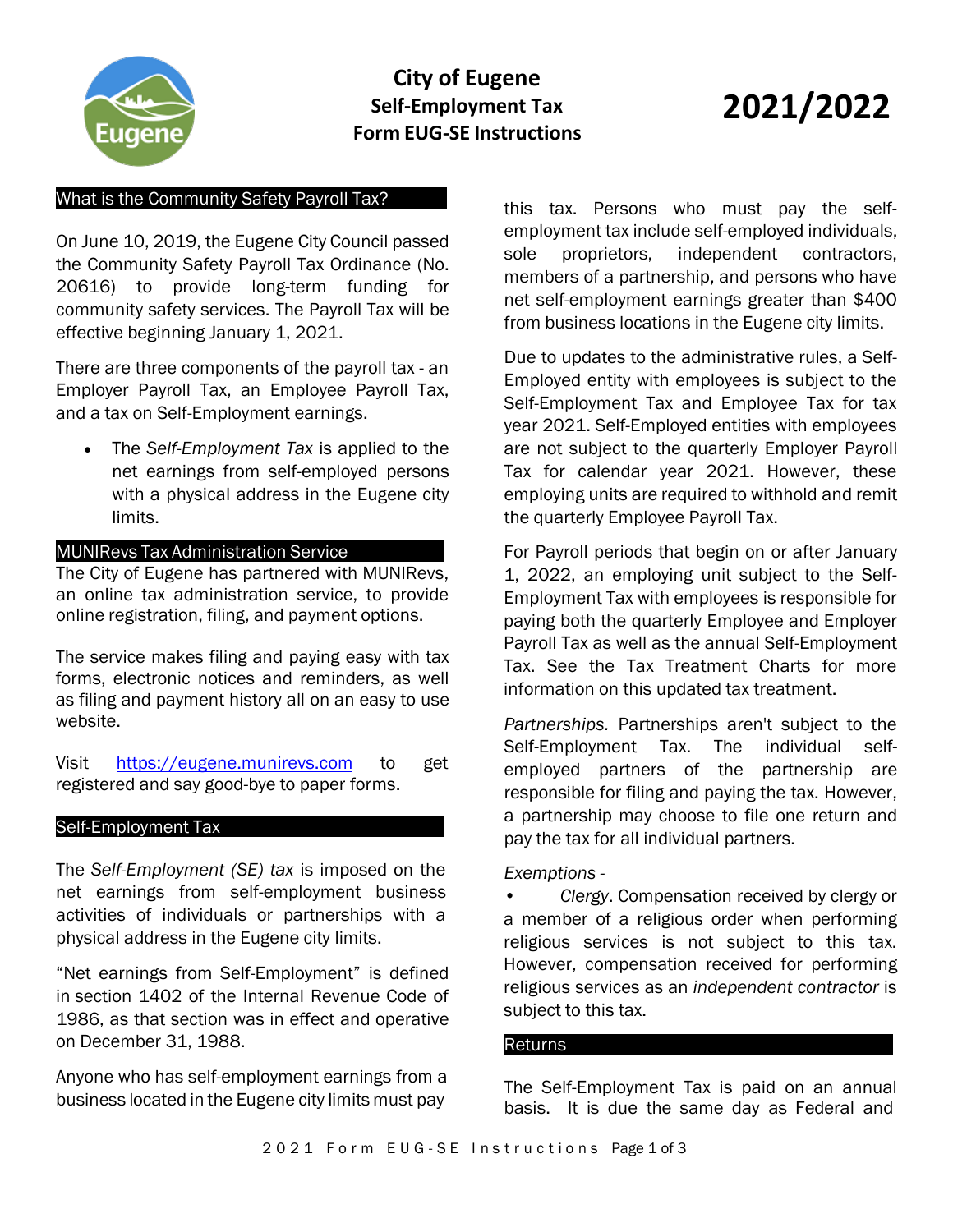

# **City of Eugene Self-Employment Tax Form EUG-SE Instructions**

# **2021/2022**

### What is the Community Safety Payroll Tax?

On June 10, 2019, the Eugene City Council passed the Community Safety Payroll Tax Ordinance (No. 20616) to provide long-term funding for community safety services. The Payroll Tax will be effective beginning January 1, 2021.

There are three components of the payroll tax - an Employer Payroll Tax, an Employee Payroll Tax, and a tax on Self-Employment earnings.

• The *Self-Employment Tax* is applied to the net earnings from self-employed persons with a physical address in the Eugene city limits.

### MUNIRevs Tax Administration Service

The City of Eugene has partnered with MUNIRevs, an online tax administration service, to provide online registration, filing, and payment options.

The service makes filing and paying easy with tax forms, electronic notices and reminders, as well as filing and payment history all on an easy to use website.

Visit https://eugene.munirevs.com to get registered and say good-bye to paper forms.

#### Self-Employment Tax

The *Self-Employment (SE) tax* is imposed on the net earnings from self-employment business activities of individuals or partnerships with a physical address in the Eugene city limits.

"Net earnings from Self-Employment" is defined in section 1402 of the Internal Revenue Code of 1986, as that section was in effect and operative on December 31, 1988.

Anyone who has self-employment earnings from a business located in the Eugene city limits must pay

this tax. Persons who must pay the selfemployment tax include self-employed individuals, sole proprietors, independent contractors, members of a partnership, and persons who have net self-employment earnings greater than \$400 from business locations in the Eugene city limits.

Due to updates to the administrative rules, a Self-Employed entity with employees is subject to the Self-Employment Tax and Employee Tax for tax year 2021. Self-Employed entities with employees are not subject to the quarterly Employer Payroll Tax for calendar year 2021. However, these employing units are required to withhold and remit the quarterly Employee Payroll Tax.

For Payroll periods that begin on or after January 1, 2022, an employing unit subject to the Self-Employment Tax with employees is responsible for paying both the quarterly Employee and Employer Payroll Tax as well as the annual Self-Employment Tax. See the Tax Treatment Charts for more information on this updated tax treatment.

*Partnerships.* Partnerships aren't subject to the Self-Employment Tax. The individual selfemployed partners of the partnership are responsible for filing and paying the tax. However, a partnership may choose to file one return and pay the tax for all individual partners.

#### *Exemptions -*

• *Clergy*. Compensation received by clergy or a member of a religious order when performing religious services is not subject to this tax. However, compensation received for performing religious services as an *independent contractor* is subject to this tax.

#### Returns

The Self-Employment Tax is paid on an annual basis. It is due the same day as Federal and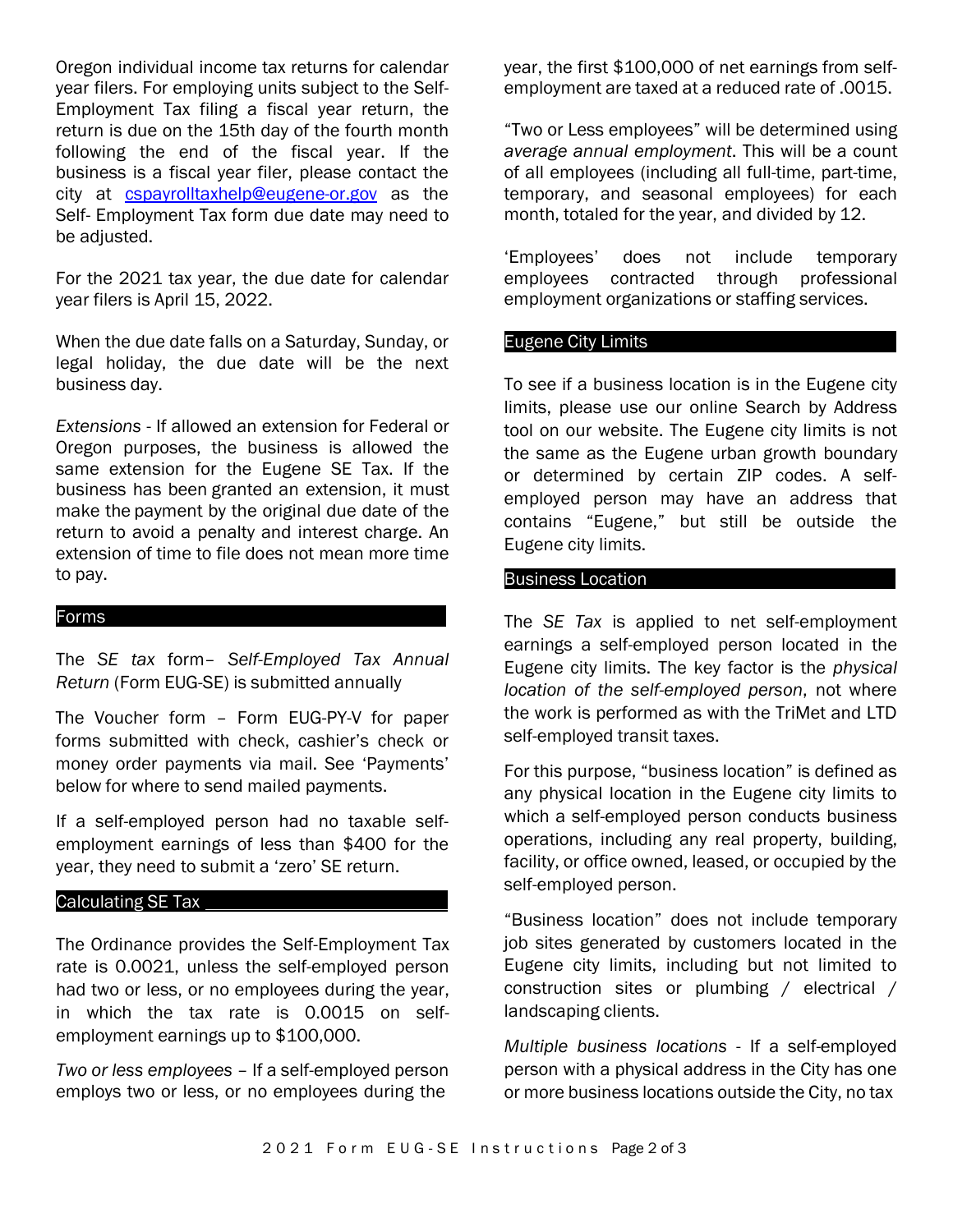Oregon individual income tax returns for calendar year filers. For employing units subject to the Self-Employment Tax filing a fiscal year return, the return is due on the 15th day of the fourth month following the end of the fiscal year. If the business is a fiscal year filer, please contact the city at [cspayrolltaxhelp@eugene-or.gov](mailto:cspayrolltaxhelp@eugene-or.gov) as the Self- Employment Tax form due date may need to be adjusted.

For the 2021 tax year, the due date for calendar year filers is April 15, 2022.

When the due date falls on a Saturday, Sunday, or legal holiday, the due date will be the next business day.

*Extensions* - If allowed an extension for Federal or Oregon purposes, the business is allowed the same extension for the Eugene SE Tax. If the business has been granted an extension, it must make the payment by the original due date of the return to avoid a penalty and interest charge. An extension of time to file does not mean more time to pay.

#### Forms

The *SE tax* form– *Self-Employed Tax Annual Return* (Form EUG-SE) is submitted annually

The Voucher form – Form EUG-PY-V for paper forms submitted with check, cashier's check or money order payments via mail. See 'Payments' below for where to send mailed payments.

If a self-employed person had no taxable selfemployment earnings of less than \$400 for the year, they need to submit a 'zero' SE return.

## Calculating SE Tax

The Ordinance provides the Self-Employment Tax rate is 0.0021, unless the self-employed person had two or less, or no employees during the year, in which the tax rate is 0.0015 on selfemployment earnings up to \$100,000.

*Two or less employees* – If a self-employed person employs two or less, or no employees during the

year, the first \$100,000 of net earnings from selfemployment are taxed at a reduced rate of .0015.

"Two or Less employees" will be determined using *average annual employment*. This will be a count of all employees (including all full-time, part-time, temporary, and seasonal employees) for each month, totaled for the year, and divided by 12.

'Employees' does not include temporary employees contracted through professional employment organizations or staffing services.

#### Eugene City Limits

To see if a business location is in the Eugene city limits, please use our [online Search by Address](https://www.eugene-or.gov/4281) [tool o](https://www.eugene-or.gov/4281)n our website. The Eugene city limits is not the same as the Eugene urban growth boundary or determined by certain ZIP codes. A selfemployed person may have an address that contains "Eugene," but still be outside the Eugene city limits.

#### Business Location

The *SE Tax* is applied to net self-employment earnings a self-employed person located in the Eugene city limits. The key factor is the *physical location of the self-employed person*, not where the work is performed as with the TriMet and LTD self-employed transit taxes.

For this purpose, "business location" is defined as any physical location in the Eugene city limits to which a self-employed person conducts business operations, including any real property, building, facility, or office owned, leased, or occupied by the self-employed person.

"Business location" does not include temporary job sites generated by customers located in the Eugene city limits, including but not limited to construction sites or plumbing / electrical / landscaping clients.

*Multiple business locations* - If a self-employed person with a physical address in the City has one or more business locations outside the City, no tax